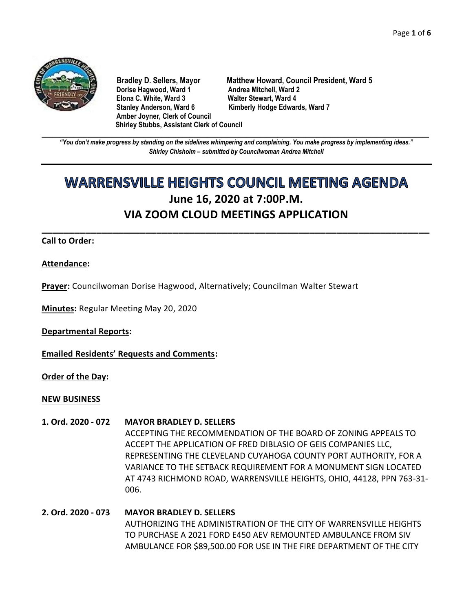

**Dorise Hagwood, Ward 1 Elona C. White, Ward 3 Walter Stewart, Ward 4** Stanley Anderson, Ward 6 Kimberly Hodge Edwards, Ward 7 **Amber Joyner, Clerk of Council Shirley Stubbs, Assistant Clerk of Council**

**Bradley D. Sellers, Mayor Matthew Howard, Council President, Ward 5**

**\_\_\_\_\_\_\_\_\_\_\_\_\_\_\_\_\_\_\_\_\_\_\_\_\_\_\_\_\_\_\_\_\_\_\_\_\_\_\_\_\_\_\_\_\_\_\_\_\_\_\_\_\_\_\_\_\_\_\_\_\_\_\_\_\_\_\_\_\_\_\_\_\_\_\_\_\_\_\_\_\_\_\_\_\_\_\_\_\_\_\_\_\_\_\_\_\_\_\_\_\_\_\_\_\_\_\_\_\_\_** *"You don't make progress by standing on the sidelines whimpering and complaining. You make progress by implementing ideas." Shirley Chisholm – submitted by Councilwoman Andrea Mitchell*

# **WARRENSVILLE HEIGHTS COUNCIL MEETING AGENDA June 16, 2020 at 7:00P.M. VIA ZOOM CLOUD MEETINGS APPLICATION**

**\_\_\_\_\_\_\_\_\_\_\_\_\_\_\_\_\_\_\_\_\_\_\_\_\_\_\_\_\_\_\_\_\_\_\_\_\_\_\_\_\_\_\_\_\_\_\_\_\_\_\_\_\_\_\_\_\_\_\_\_\_\_\_\_\_\_\_\_\_\_\_**

## **Call to Order:**

## **Attendance:**

**Prayer:** Councilwoman Dorise Hagwood, Alternatively; Councilman Walter Stewart

**Minutes:** Regular Meeting May 20, 2020

**Departmental Reports:**

**Emailed Residents' Requests and Comments:**

**Order of the Day:**

#### **NEW BUSINESS**

#### **1. Ord. 2020 - 072 MAYOR BRADLEY D. SELLERS**

ACCEPTING THE RECOMMENDATION OF THE BOARD OF ZONING APPEALS TO ACCEPT THE APPLICATION OF FRED DIBLASIO OF GEIS COMPANIES LLC, REPRESENTING THE CLEVELAND CUYAHOGA COUNTY PORT AUTHORITY, FOR A VARIANCE TO THE SETBACK REQUIREMENT FOR A MONUMENT SIGN LOCATED AT 4743 RICHMOND ROAD, WARRENSVILLE HEIGHTS, OHIO, 44128, PPN 763-31- 006.

# **2. Ord. 2020 - 073 MAYOR BRADLEY D. SELLERS** AUTHORIZING THE ADMINISTRATION OF THE CITY OF WARRENSVILLE HEIGHTS TO PURCHASE A 2021 FORD E450 AEV REMOUNTED AMBULANCE FROM SIV AMBULANCE FOR \$89,500.00 FOR USE IN THE FIRE DEPARTMENT OF THE CITY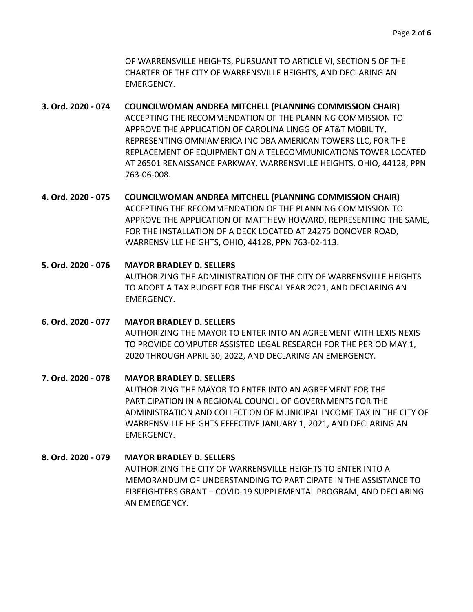OF WARRENSVILLE HEIGHTS, PURSUANT TO ARTICLE VI, SECTION 5 OF THE CHARTER OF THE CITY OF WARRENSVILLE HEIGHTS, AND DECLARING AN EMERGENCY.

- **3. Ord. 2020 - 074 COUNCILWOMAN ANDREA MITCHELL (PLANNING COMMISSION CHAIR)** ACCEPTING THE RECOMMENDATION OF THE PLANNING COMMISSION TO APPROVE THE APPLICATION OF CAROLINA LINGG OF AT&T MOBILITY, REPRESENTING OMNIAMERICA INC DBA AMERICAN TOWERS LLC, FOR THE REPLACEMENT OF EQUIPMENT ON A TELECOMMUNICATIONS TOWER LOCATED AT 26501 RENAISSANCE PARKWAY, WARRENSVILLE HEIGHTS, OHIO, 44128, PPN 763-06-008.
- **4. Ord. 2020 - 075 COUNCILWOMAN ANDREA MITCHELL (PLANNING COMMISSION CHAIR)** ACCEPTING THE RECOMMENDATION OF THE PLANNING COMMISSION TO APPROVE THE APPLICATION OF MATTHEW HOWARD, REPRESENTING THE SAME, FOR THE INSTALLATION OF A DECK LOCATED AT 24275 DONOVER ROAD, WARRENSVILLE HEIGHTS, OHIO, 44128, PPN 763-02-113.
- **5. Ord. 2020 - 076 MAYOR BRADLEY D. SELLERS**  AUTHORIZING THE ADMINISTRATION OF THE CITY OF WARRENSVILLE HEIGHTS TO ADOPT A TAX BUDGET FOR THE FISCAL YEAR 2021, AND DECLARING AN EMERGENCY.
- **6. Ord. 2020 - 077 MAYOR BRADLEY D. SELLERS** AUTHORIZING THE MAYOR TO ENTER INTO AN AGREEMENT WITH LEXIS NEXIS TO PROVIDE COMPUTER ASSISTED LEGAL RESEARCH FOR THE PERIOD MAY 1, 2020 THROUGH APRIL 30, 2022, AND DECLARING AN EMERGENCY.
- **7. Ord. 2020 - 078 MAYOR BRADLEY D. SELLERS** AUTHORIZING THE MAYOR TO ENTER INTO AN AGREEMENT FOR THE PARTICIPATION IN A REGIONAL COUNCIL OF GOVERNMENTS FOR THE ADMINISTRATION AND COLLECTION OF MUNICIPAL INCOME TAX IN THE CITY OF WARRENSVILLE HEIGHTS EFFECTIVE JANUARY 1, 2021, AND DECLARING AN EMERGENCY.
- **8. Ord. 2020 - 079 MAYOR BRADLEY D. SELLERS** AUTHORIZING THE CITY OF WARRENSVILLE HEIGHTS TO ENTER INTO A MEMORANDUM OF UNDERSTANDING TO PARTICIPATE IN THE ASSISTANCE TO FIREFIGHTERS GRANT – COVID-19 SUPPLEMENTAL PROGRAM, AND DECLARING AN EMERGENCY.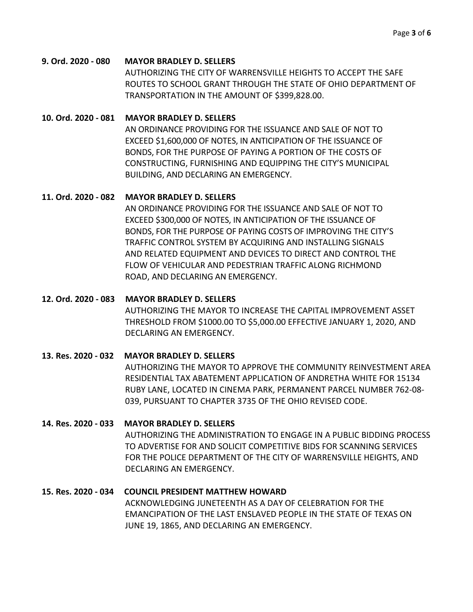#### **9. Ord. 2020 - 080 MAYOR BRADLEY D. SELLERS**

AUTHORIZING THE CITY OF WARRENSVILLE HEIGHTS TO ACCEPT THE SAFE ROUTES TO SCHOOL GRANT THROUGH THE STATE OF OHIO DEPARTMENT OF TRANSPORTATION IN THE AMOUNT OF \$399,828.00.

#### **10. Ord. 2020 - 081 MAYOR BRADLEY D. SELLERS**

AN ORDINANCE PROVIDING FOR THE ISSUANCE AND SALE OF NOT TO EXCEED \$1,600,000 OF NOTES, IN ANTICIPATION OF THE ISSUANCE OF BONDS, FOR THE PURPOSE OF PAYING A PORTION OF THE COSTS OF CONSTRUCTING, FURNISHING AND EQUIPPING THE CITY'S MUNICIPAL BUILDING, AND DECLARING AN EMERGENCY.

## **11. Ord. 2020 - 082 MAYOR BRADLEY D. SELLERS**

AN ORDINANCE PROVIDING FOR THE ISSUANCE AND SALE OF NOT TO EXCEED \$300,000 OF NOTES, IN ANTICIPATION OF THE ISSUANCE OF BONDS, FOR THE PURPOSE OF PAYING COSTS OF IMPROVING THE CITY'S TRAFFIC CONTROL SYSTEM BY ACQUIRING AND INSTALLING SIGNALS AND RELATED EQUIPMENT AND DEVICES TO DIRECT AND CONTROL THE FLOW OF VEHICULAR AND PEDESTRIAN TRAFFIC ALONG RICHMOND ROAD, AND DECLARING AN EMERGENCY.

#### **12. Ord. 2020 - 083 MAYOR BRADLEY D. SELLERS**

AUTHORIZING THE MAYOR TO INCREASE THE CAPITAL IMPROVEMENT ASSET THRESHOLD FROM \$1000.00 TO \$5,000.00 EFFECTIVE JANUARY 1, 2020, AND DECLARING AN EMERGENCY.

## **13. Res. 2020 - 032 MAYOR BRADLEY D. SELLERS**

AUTHORIZING THE MAYOR TO APPROVE THE COMMUNITY REINVESTMENT AREA RESIDENTIAL TAX ABATEMENT APPLICATION OF ANDRETHA WHITE FOR 15134 RUBY LANE, LOCATED IN CINEMA PARK, PERMANENT PARCEL NUMBER 762-08- 039, PURSUANT TO CHAPTER 3735 OF THE OHIO REVISED CODE.

## **14. Res. 2020 - 033 MAYOR BRADLEY D. SELLERS**

AUTHORIZING THE ADMINISTRATION TO ENGAGE IN A PUBLIC BIDDING PROCESS TO ADVERTISE FOR AND SOLICIT COMPETITIVE BIDS FOR SCANNING SERVICES FOR THE POLICE DEPARTMENT OF THE CITY OF WARRENSVILLE HEIGHTS, AND DECLARING AN EMERGENCY.

#### **15. Res. 2020 - 034 COUNCIL PRESIDENT MATTHEW HOWARD**

ACKNOWLEDGING JUNETEENTH AS A DAY OF CELEBRATION FOR THE EMANCIPATION OF THE LAST ENSLAVED PEOPLE IN THE STATE OF TEXAS ON JUNE 19, 1865, AND DECLARING AN EMERGENCY.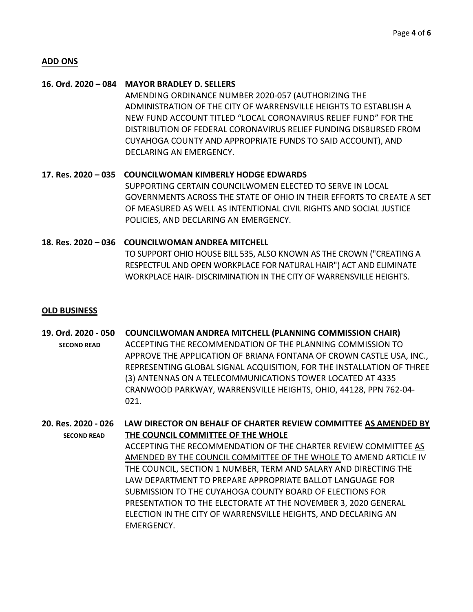#### **ADD ONS**

#### **16. Ord. 2020 – 084 MAYOR BRADLEY D. SELLERS**

AMENDING ORDINANCE NUMBER 2020-057 (AUTHORIZING THE ADMINISTRATION OF THE CITY OF WARRENSVILLE HEIGHTS TO ESTABLISH A NEW FUND ACCOUNT TITLED "LOCAL CORONAVIRUS RELIEF FUND" FOR THE DISTRIBUTION OF FEDERAL CORONAVIRUS RELIEF FUNDING DISBURSED FROM CUYAHOGA COUNTY AND APPROPRIATE FUNDS TO SAID ACCOUNT), AND DECLARING AN EMERGENCY.

**17. Res. 2020 – 035 COUNCILWOMAN KIMBERLY HODGE EDWARDS** SUPPORTING CERTAIN COUNCILWOMEN ELECTED TO SERVE IN LOCAL GOVERNMENTS ACROSS THE STATE OF OHIO IN THEIR EFFORTS TO CREATE A SET OF MEASURED AS WELL AS INTENTIONAL CIVIL RIGHTS AND SOCIAL JUSTICE POLICIES, AND DECLARING AN EMERGENCY.

**18. Res. 2020 – 036 COUNCILWOMAN ANDREA MITCHELL** TO SUPPORT OHIO HOUSE BILL 535, ALSO KNOWN AS THE CROWN ("CREATING A RESPECTFUL AND OPEN WORKPLACE FOR NATURAL HAIR") ACT AND ELIMINATE WORKPLACE HAIR- DISCRIMINATION IN THE CITY OF WARRENSVILLE HEIGHTS.

#### **OLD BUSINESS**

**19. Ord. 2020 - 050 COUNCILWOMAN ANDREA MITCHELL (PLANNING COMMISSION CHAIR) SECOND READ** ACCEPTING THE RECOMMENDATION OF THE PLANNING COMMISSION TO APPROVE THE APPLICATION OF BRIANA FONTANA OF CROWN CASTLE USA, INC., REPRESENTING GLOBAL SIGNAL ACQUISITION, FOR THE INSTALLATION OF THREE (3) ANTENNAS ON A TELECOMMUNICATIONS TOWER LOCATED AT 4335 CRANWOOD PARKWAY, WARRENSVILLE HEIGHTS, OHIO, 44128, PPN 762-04- 021.

**20. Res. 2020 - 026 LAW DIRECTOR ON BEHALF OF CHARTER REVIEW COMMITTEE AS AMENDED BY SECOND READ THE COUNCIL COMMITTEE OF THE WHOLE** ACCEPTING THE RECOMMENDATION OF THE CHARTER REVIEW COMMITTEE AS AMENDED BY THE COUNCIL COMMITTEE OF THE WHOLE TO AMEND ARTICLE IV THE COUNCIL, SECTION 1 NUMBER, TERM AND SALARY AND DIRECTING THE LAW DEPARTMENT TO PREPARE APPROPRIATE BALLOT LANGUAGE FOR SUBMISSION TO THE CUYAHOGA COUNTY BOARD OF ELECTIONS FOR PRESENTATION TO THE ELECTORATE AT THE NOVEMBER 3, 2020 GENERAL ELECTION IN THE CITY OF WARRENSVILLE HEIGHTS, AND DECLARING AN EMERGENCY.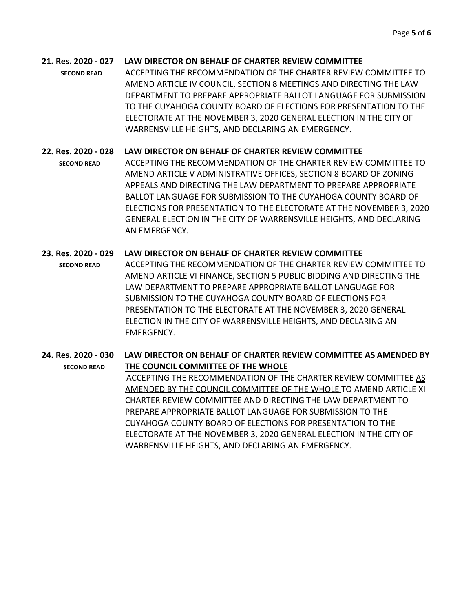# **21. Res. 2020 - 027 LAW DIRECTOR ON BEHALF OF CHARTER REVIEW COMMITTEE**

**SECOND READ** ACCEPTING THE RECOMMENDATION OF THE CHARTER REVIEW COMMITTEE TO AMEND ARTICLE IV COUNCIL, SECTION 8 MEETINGS AND DIRECTING THE LAW DEPARTMENT TO PREPARE APPROPRIATE BALLOT LANGUAGE FOR SUBMISSION TO THE CUYAHOGA COUNTY BOARD OF ELECTIONS FOR PRESENTATION TO THE ELECTORATE AT THE NOVEMBER 3, 2020 GENERAL ELECTION IN THE CITY OF WARRENSVILLE HEIGHTS, AND DECLARING AN EMERGENCY.

# **22. Res. 2020 - 028 LAW DIRECTOR ON BEHALF OF CHARTER REVIEW COMMITTEE**

 **SECOND READ** ACCEPTING THE RECOMMENDATION OF THE CHARTER REVIEW COMMITTEE TO AMEND ARTICLE V ADMINISTRATIVE OFFICES, SECTION 8 BOARD OF ZONING APPEALS AND DIRECTING THE LAW DEPARTMENT TO PREPARE APPROPRIATE BALLOT LANGUAGE FOR SUBMISSION TO THE CUYAHOGA COUNTY BOARD OF ELECTIONS FOR PRESENTATION TO THE ELECTORATE AT THE NOVEMBER 3, 2020 GENERAL ELECTION IN THE CITY OF WARRENSVILLE HEIGHTS, AND DECLARING AN EMERGENCY.

# **23. Res. 2020 - 029 LAW DIRECTOR ON BEHALF OF CHARTER REVIEW COMMITTEE**

 **SECOND READ** ACCEPTING THE RECOMMENDATION OF THE CHARTER REVIEW COMMITTEE TO AMEND ARTICLE VI FINANCE, SECTION 5 PUBLIC BIDDING AND DIRECTING THE LAW DEPARTMENT TO PREPARE APPROPRIATE BALLOT LANGUAGE FOR SUBMISSION TO THE CUYAHOGA COUNTY BOARD OF ELECTIONS FOR PRESENTATION TO THE ELECTORATE AT THE NOVEMBER 3, 2020 GENERAL ELECTION IN THE CITY OF WARRENSVILLE HEIGHTS, AND DECLARING AN EMERGENCY.

**24. Res. 2020 - 030 LAW DIRECTOR ON BEHALF OF CHARTER REVIEW COMMITTEE AS AMENDED BY SECOND READ THE COUNCIL COMMITTEE OF THE WHOLE** ACCEPTING THE RECOMMENDATION OF THE CHARTER REVIEW COMMITTEE AS AMENDED BY THE COUNCIL COMMITTEE OF THE WHOLE TO AMEND ARTICLE XI CHARTER REVIEW COMMITTEE AND DIRECTING THE LAW DEPARTMENT TO PREPARE APPROPRIATE BALLOT LANGUAGE FOR SUBMISSION TO THE CUYAHOGA COUNTY BOARD OF ELECTIONS FOR PRESENTATION TO THE ELECTORATE AT THE NOVEMBER 3, 2020 GENERAL ELECTION IN THE CITY OF WARRENSVILLE HEIGHTS, AND DECLARING AN EMERGENCY.